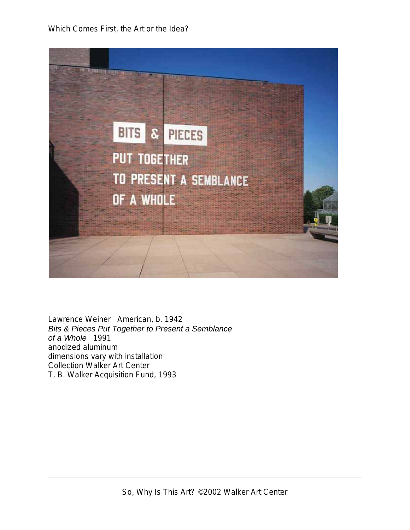

Lawrence Weiner American, b. 1942 *Bits & Pieces Put Together to Present a Semblance of a Whole* 1991 anodized aluminum dimensions vary with installation Collection Walker Art Center T. B. Walker Acquisition Fund, 1993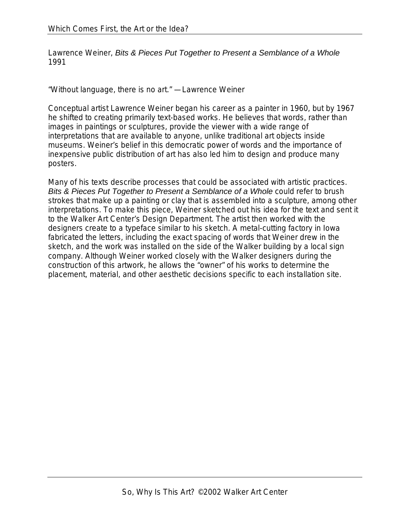Lawrence Weiner, *Bits & Pieces Put Together to Present a Semblance of a Whole* 1991

"Without language, there is no art." —Lawrence Weiner

Conceptual artist Lawrence Weiner began his career as a painter in 1960, but by 1967 he shifted to creating primarily text-based works. He believes that words, rather than images in paintings or sculptures, provide the viewer with a wide range of interpretations that are available to anyone, unlike traditional art objects inside museums. Weiner's belief in this democratic power of words and the importance of inexpensive public distribution of art has also led him to design and produce many posters.

Many of his texts describe processes that could be associated with artistic practices. *Bits & Pieces Put Together to Present a Semblance of a Whole* could refer to brush strokes that make up a painting or clay that is assembled into a sculpture, among other interpretations. To make this piece, Weiner sketched out his idea for the text and sent it to the Walker Art Center's Design Department. The artist then worked with the designers create to a typeface similar to his sketch. A metal-cutting factory in Iowa fabricated the letters, including the exact spacing of words that Weiner drew in the sketch, and the work was installed on the side of the Walker building by a local sign company. Although Weiner worked closely with the Walker designers during the construction of this artwork, he allows the "owner" of his works to determine the placement, material, and other aesthetic decisions specific to each installation site.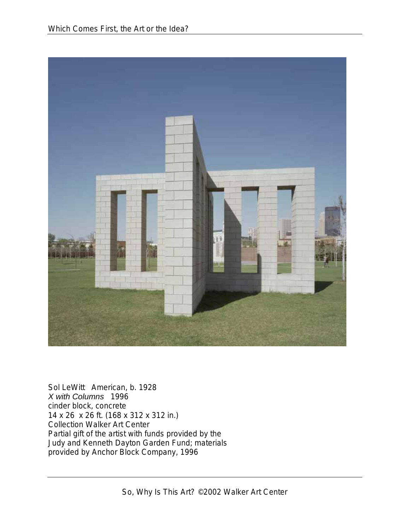

Sol LeWitt American, b. 1928 *X with Columns* 1996 cinder block, concrete 14 x 26 x 26 ft. (168 x 312 x 312 in.) Collection Walker Art Center Partial gift of the artist with funds provided by the Judy and Kenneth Dayton Garden Fund; materials provided by Anchor Block Company, 1996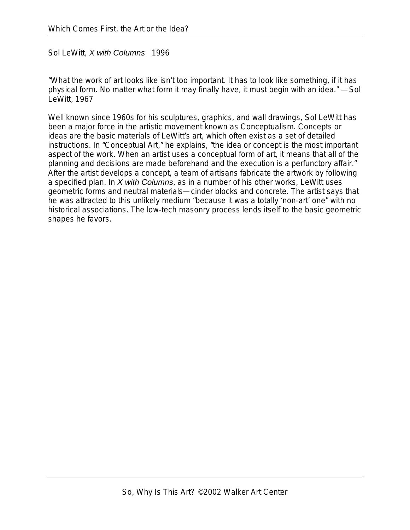Sol LeWitt, *X with Columns* 1996

"What the work of art looks like isn't too important. It has to look like something, if it has physical form. No matter what form it may finally have, it must begin with an idea." —Sol LeWitt, 1967

Well known since 1960s for his sculptures, graphics, and wall drawings, Sol LeWitt has been a major force in the artistic movement known as Conceptualism. Concepts or ideas are the basic materials of LeWitt's art, which often exist as a set of detailed instructions. In "Conceptual Art," he explains, "the idea or concept is the most important aspect of the work. When an artist uses a conceptual form of art, it means that all of the planning and decisions are made beforehand and the execution is a perfunctory affair." After the artist develops a concept, a team of artisans fabricate the artwork by following a specified plan. In *X with Columns*, as in a number of his other works, LeWitt uses geometric forms and neutral materials—cinder blocks and concrete. The artist says that he was attracted to this unlikely medium "because it was a totally 'non-art' one" with no historical associations. The low-tech masonry process lends itself to the basic geometric shapes he favors.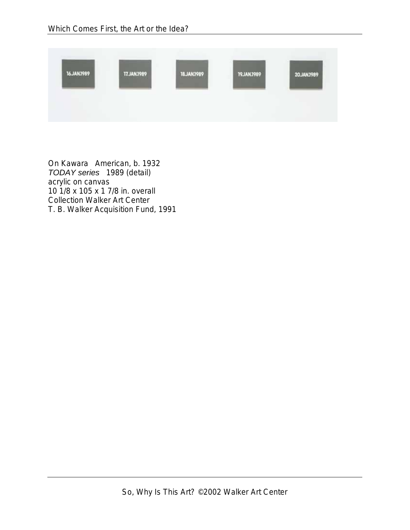

On Kawara American, b. 1932 *TODAY series* 1989 (detail) acrylic on canvas 10 1/8 x 105 x 1 7/8 in. overall Collection Walker Art Center T. B. Walker Acquisition Fund, 1991